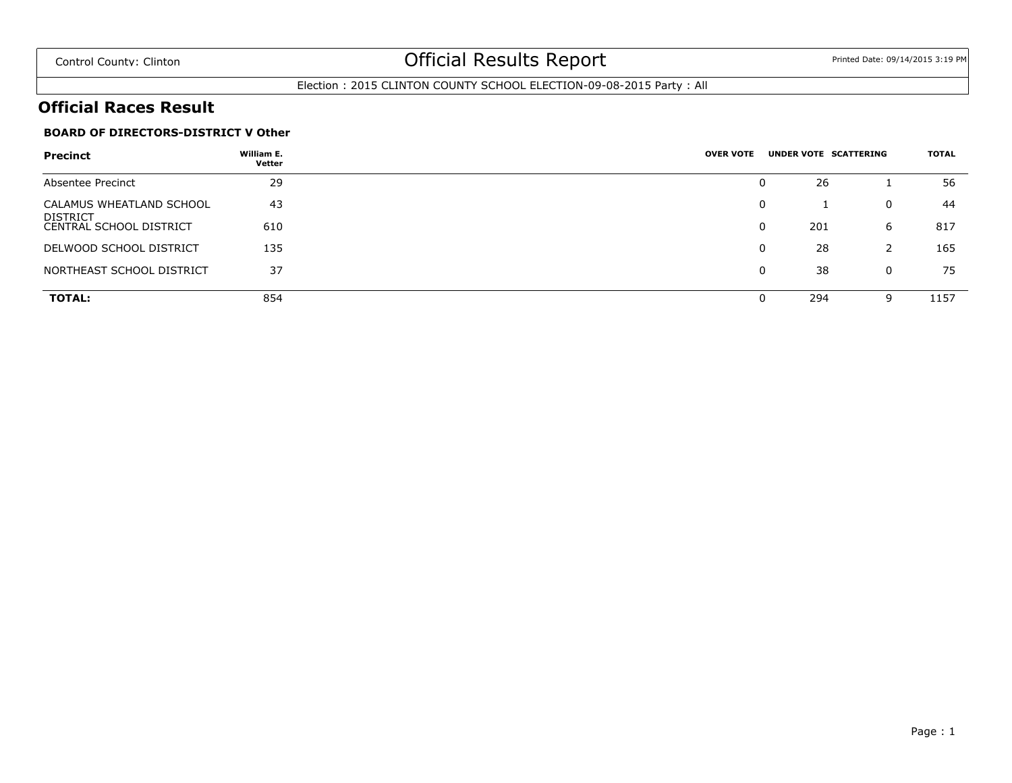### Election : 2015 CLINTON COUNTY SCHOOL ELECTION-09-08-2015 Party : All

### **Official Races Result**

### **BOARD OF DIRECTORS-DISTRICT V Other**

| <b>Precinct</b>                                   | William E.<br>Vetter | <b>OVER VOTE</b> |   | UNDER VOTE SCATTERING |   | TOTAL |
|---------------------------------------------------|----------------------|------------------|---|-----------------------|---|-------|
| Absentee Precinct                                 | 29                   |                  | 0 | 26                    |   | 56    |
| CALAMUS WHEATLAND SCHOOL                          | 43                   |                  | 0 |                       | 0 | 44    |
| <b>DISTRICT</b><br><b>CENTRAL SCHOOL DISTRICT</b> | 610                  |                  | 0 | 201                   | 6 | 817   |
| DELWOOD SCHOOL DISTRICT                           | 135                  |                  | 0 | 28                    |   | 165   |
| NORTHEAST SCHOOL DISTRICT                         | 37                   |                  | 0 | 38                    | 0 | 75    |
| <b>TOTAL:</b>                                     | 854                  |                  | 0 | 294                   | 9 | 1157  |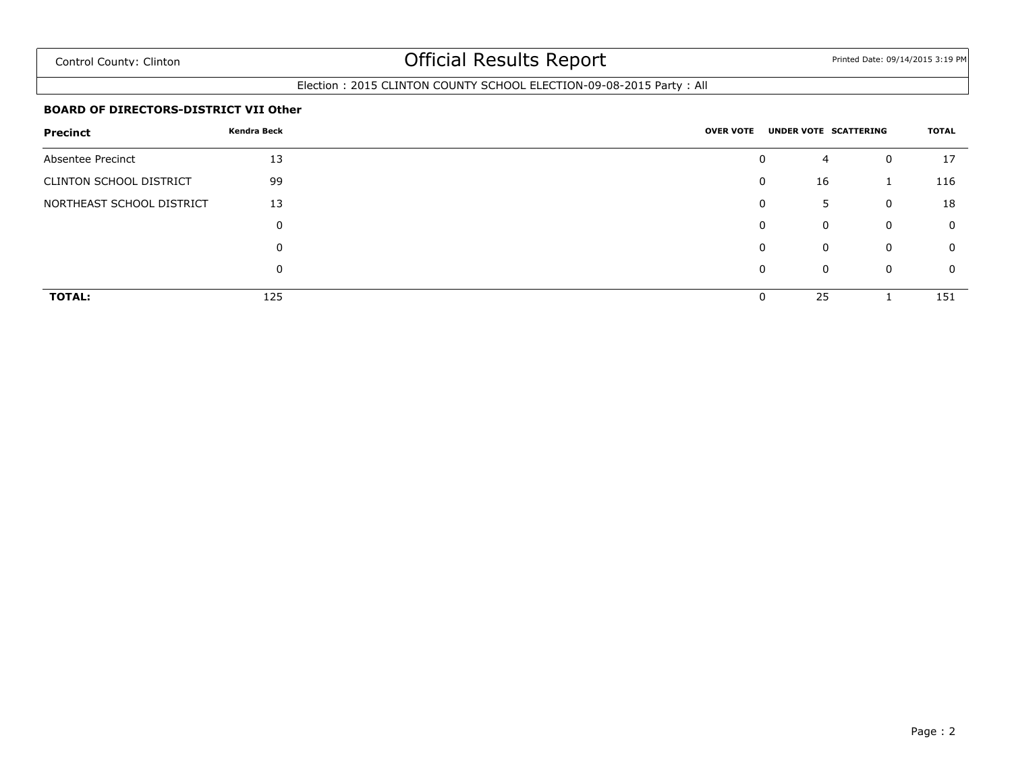### Election : 2015 CLINTON COUNTY SCHOOL ELECTION-09-08-2015 Party : All

#### **BOARD OF DIRECTORS-DISTRICT VII Other**

| <b>Precinct</b>                | Kendra Beck |  | <b>OVER VOTE</b> |                  | UNDER VOTE SCATTERING | TOTAL       |
|--------------------------------|-------------|--|------------------|------------------|-----------------------|-------------|
| Absentee Precinct              | 13          |  |                  | 0<br>4           | $\mathbf 0$           | 17          |
| <b>CLINTON SCHOOL DISTRICT</b> | 99          |  |                  | 16<br>0          |                       | 116         |
| NORTHEAST SCHOOL DISTRICT      | 13          |  |                  | 0<br>5           | $\mathbf 0$           | 18          |
|                                |             |  |                  | 0<br>$\mathbf 0$ | $\overline{0}$        | $\mathbf 0$ |
|                                |             |  |                  | 0<br>$\mathbf 0$ | $\mathbf 0$           | $\mathbf 0$ |
|                                |             |  |                  | 0<br>$\Omega$    | $\overline{0}$        | $\mathbf 0$ |
| <b>TOTAL:</b>                  | 125         |  |                  | 25<br>0          |                       | 151         |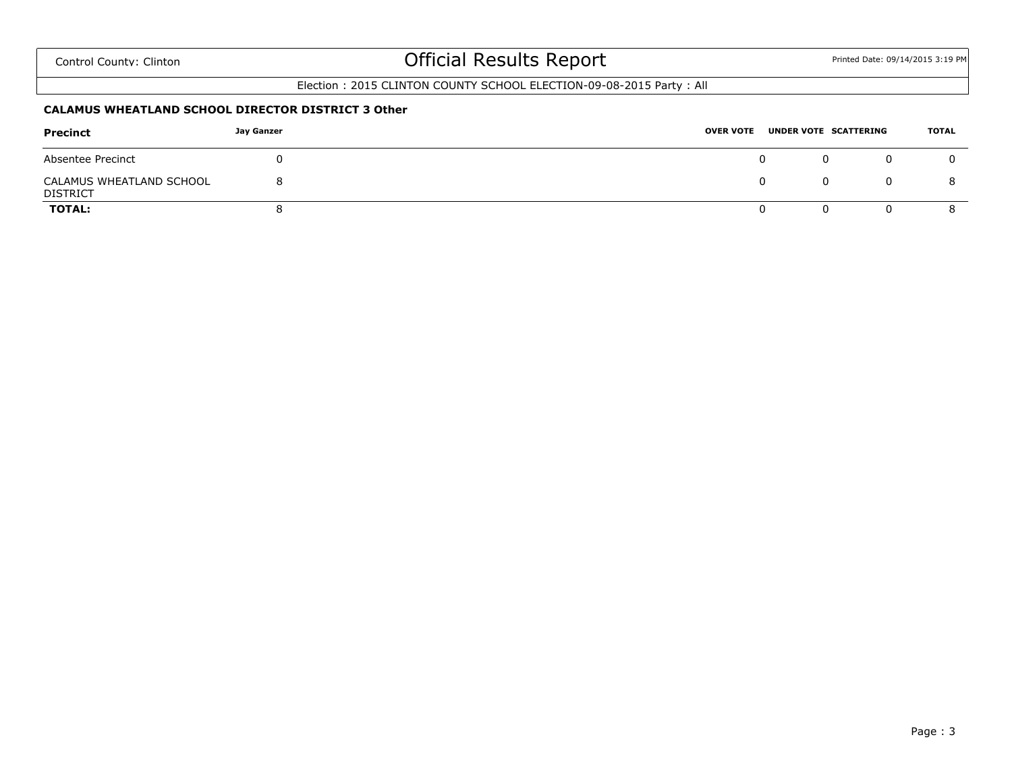### Election : 2015 CLINTON COUNTY SCHOOL ELECTION-09-08-2015 Party : All

#### **CALAMUS WHEATLAND SCHOOL DIRECTOR DISTRICT 3 Other**

| Precinct                                    | Jay Ganzer | <b>OVER VOTE</b> | UNDER VOTE SCATTERING | TOTAL |
|---------------------------------------------|------------|------------------|-----------------------|-------|
| Absentee Precinct                           |            |                  |                       | 0     |
| CALAMUS WHEATLAND SCHOOL<br><b>DISTRICT</b> |            |                  |                       |       |
| <b>TOTAL:</b>                               |            | O                |                       |       |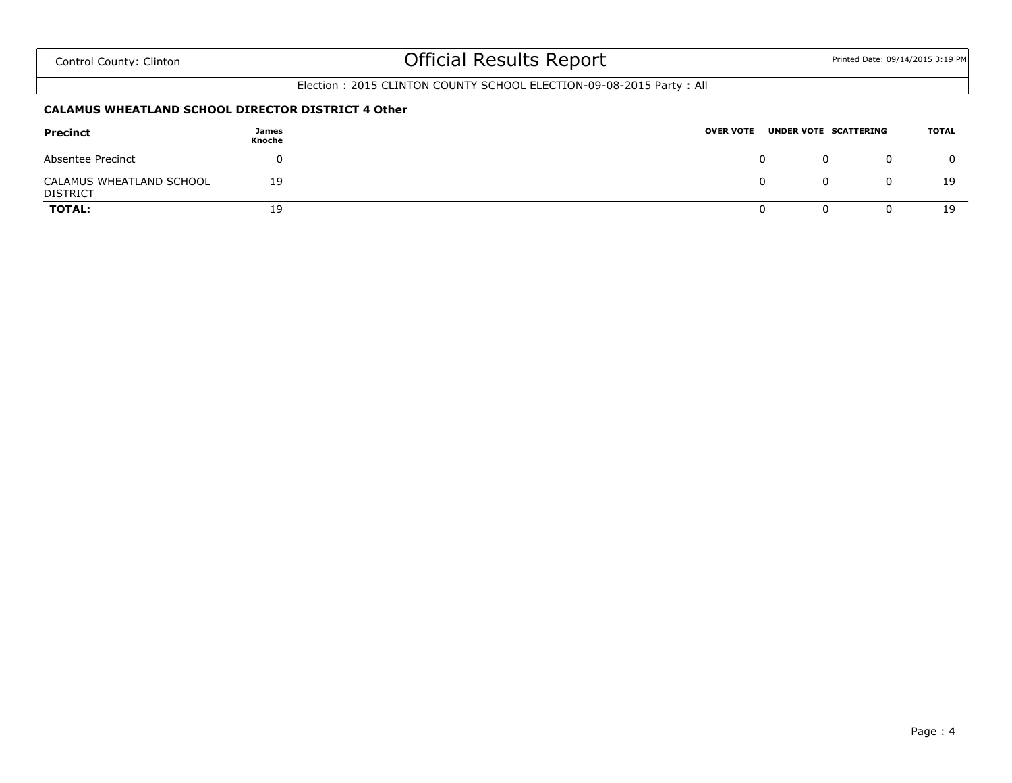### Election : 2015 CLINTON COUNTY SCHOOL ELECTION-09-08-2015 Party : All

#### **CALAMUS WHEATLAND SCHOOL DIRECTOR DISTRICT 4 Other**

| <b>Precinct</b>                             | James<br>Knoche | <b>OVER VOTE</b> |   | UNDER VOTE SCATTERING | TOTAL |
|---------------------------------------------|-----------------|------------------|---|-----------------------|-------|
| Absentee Precinct                           |                 |                  | O |                       |       |
| CALAMUS WHEATLAND SCHOOL<br><b>DISTRICT</b> | 19              |                  | 0 |                       | 19    |
| <b>TOTAL:</b>                               | 19              |                  |   |                       | 19    |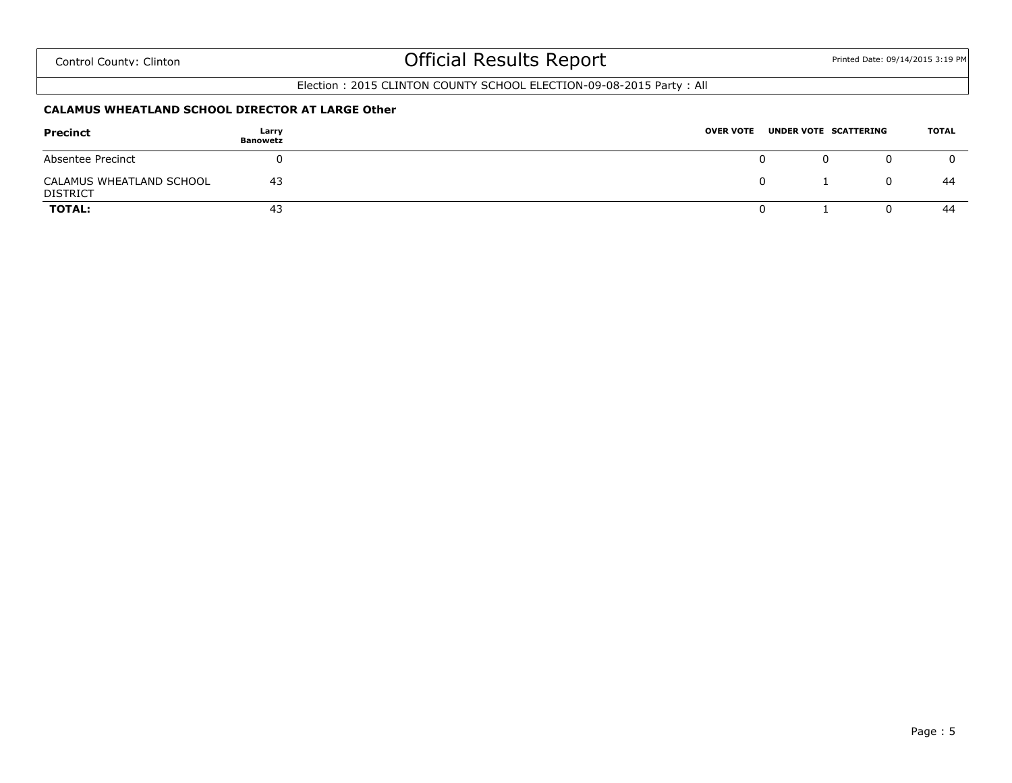### Election : 2015 CLINTON COUNTY SCHOOL ELECTION-09-08-2015 Party : All

#### **CALAMUS WHEATLAND SCHOOL DIRECTOR AT LARGE Other**

| Precinct                                    | Larry<br><b>Banowetz</b> | <b>OVER VOTE</b> |   | UNDER VOTE SCATTERING | TOTAL |
|---------------------------------------------|--------------------------|------------------|---|-----------------------|-------|
| Absentee Precinct                           |                          |                  | 0 |                       |       |
| CALAMUS WHEATLAND SCHOOL<br><b>DISTRICT</b> | -43                      |                  |   |                       | -44   |
| <b>TOTAL:</b>                               | 43                       |                  |   |                       | 44    |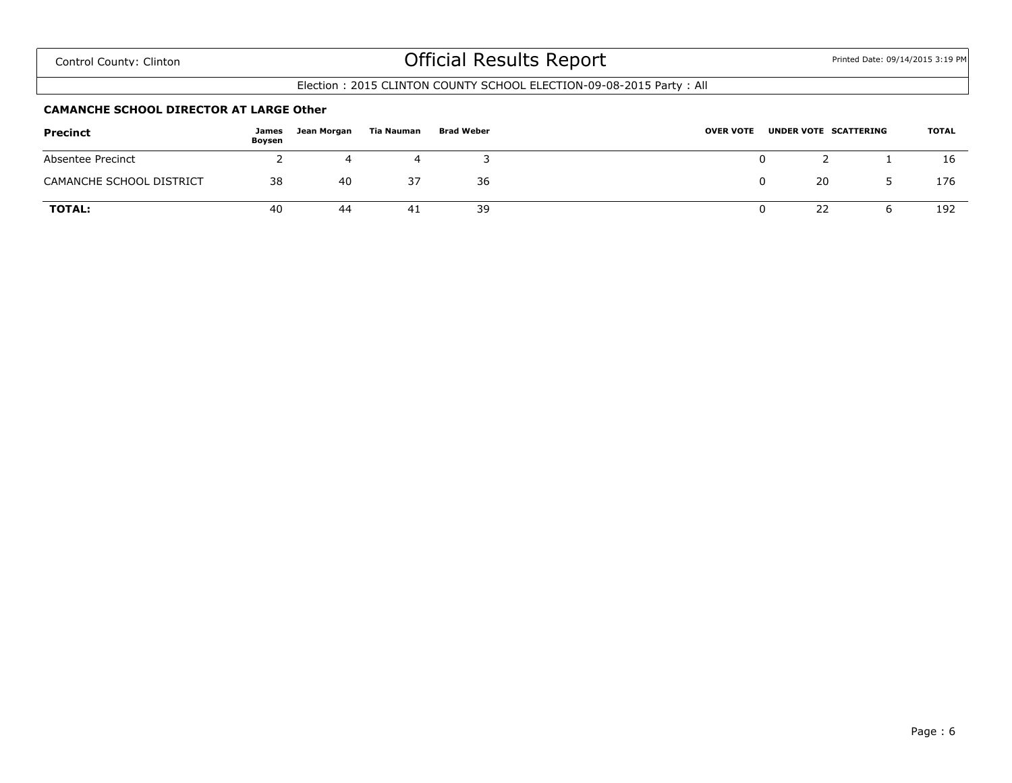#### Election : 2015 CLINTON COUNTY SCHOOL ELECTION-09-08-2015 Party : All

#### **CAMANCHE SCHOOL DIRECTOR AT LARGE Other**

| Precinct                 | James<br>Boysen | Jean Morgan | Tia Nauman | <b>Brad Weber</b> | <b>OVER VOTE</b><br>UNDER VOTE SCATTERING | <b>TOTAL</b> |
|--------------------------|-----------------|-------------|------------|-------------------|-------------------------------------------|--------------|
| Absentee Precinct        |                 |             |            |                   | 0                                         | 16           |
| CAMANCHE SCHOOL DISTRICT | 38              | 40          | 37         | 36                | 20                                        | 176          |
| <b>TOTAL:</b>            | 40              | 44          | 41         | 39                | 22                                        | 192          |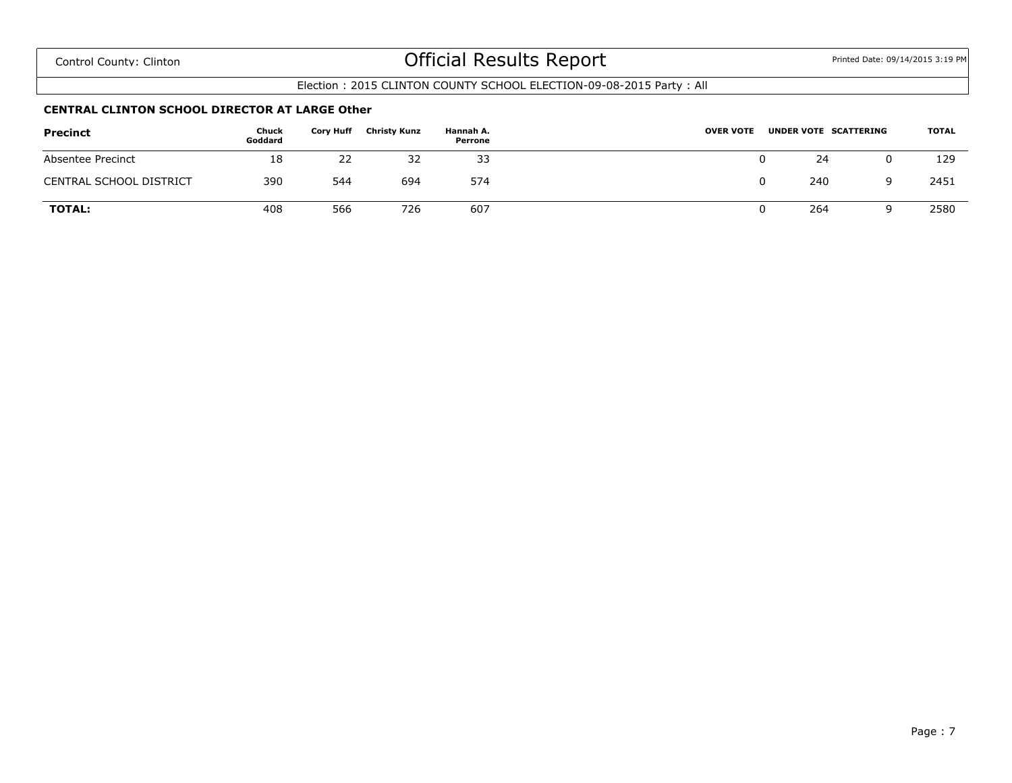### Election : 2015 CLINTON COUNTY SCHOOL ELECTION-09-08-2015 Party : All

#### **CENTRAL CLINTON SCHOOL DIRECTOR AT LARGE Other**

| <b>Precinct</b>                | Chuck<br>Goddard | <b>Cory Huff</b> | <b>Christy Kunz</b> | Hannah A.<br>Perrone | <b>OVER VOTE</b><br>UNDER VOTE SCATTERING | <b>TOTAL</b> |
|--------------------------------|------------------|------------------|---------------------|----------------------|-------------------------------------------|--------------|
| Absentee Precinct              | 18               | 22               | 32                  | 33                   | 24                                        | 129          |
| <b>CENTRAL SCHOOL DISTRICT</b> | 390              | 544              | 694                 | 574                  | 240                                       | 2451         |
| <b>TOTAL:</b>                  | 408              | 566              | 726                 | 607                  | 264<br>u                                  | 2580         |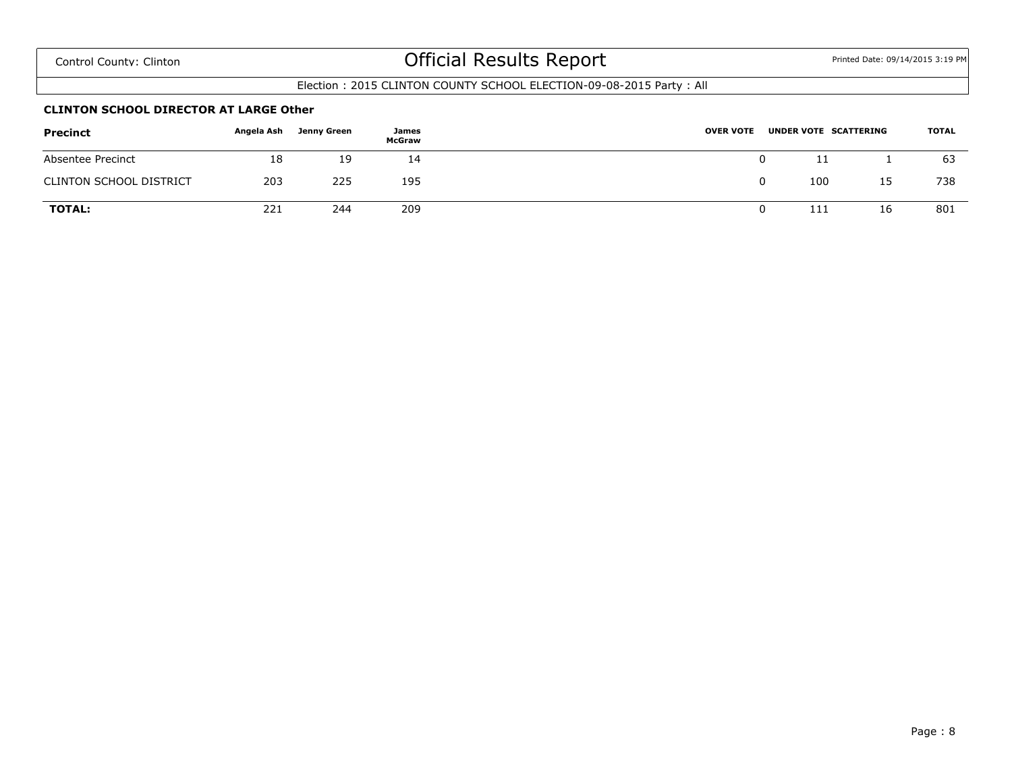### Election : 2015 CLINTON COUNTY SCHOOL ELECTION-09-08-2015 Party : All

#### **CLINTON SCHOOL DIRECTOR AT LARGE Other**

| <b>Precinct</b>                | Angela Ash | Jenny Green | James<br>McGraw | <b>OVER VOTE</b> |   | UNDER VOTE SCATTERING |    | <b>TOTAL</b> |
|--------------------------------|------------|-------------|-----------------|------------------|---|-----------------------|----|--------------|
| Absentee Precinct              | 18         | 19          | 14              |                  | 0 |                       |    | 63           |
| <b>CLINTON SCHOOL DISTRICT</b> | 203        | 225         | 195             |                  | 0 | 100                   | 15 | 738          |
| <b>TOTAL:</b>                  | 221        | 244         | 209             |                  |   | 111                   | 16 | 801          |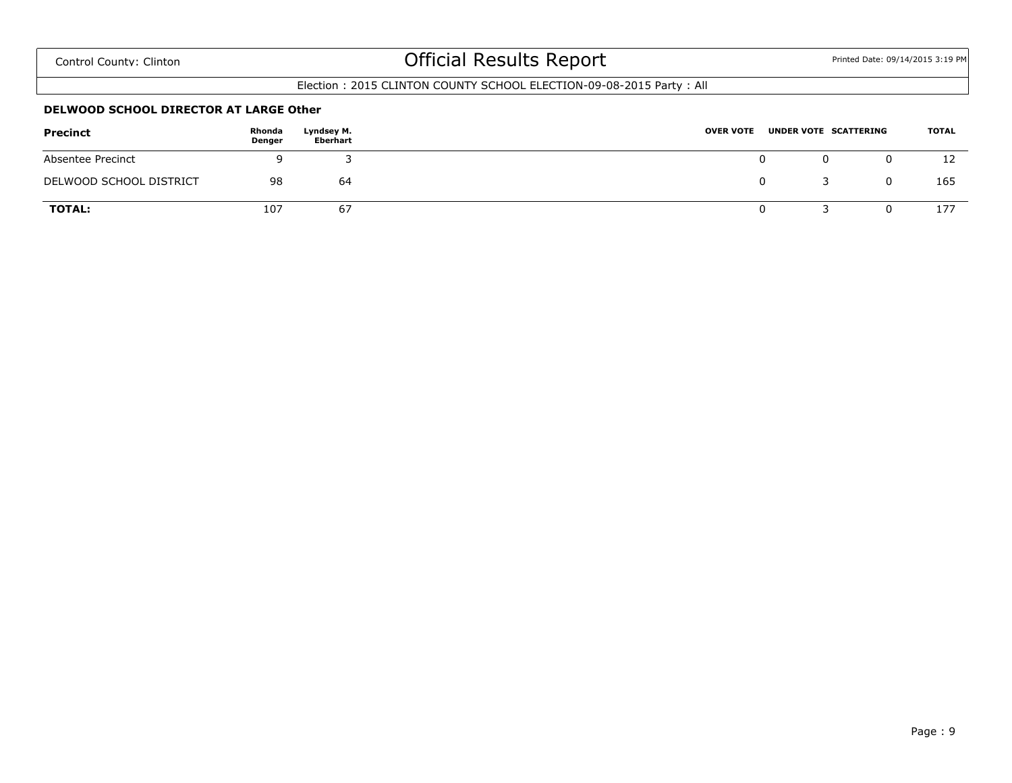### Election : 2015 CLINTON COUNTY SCHOOL ELECTION-09-08-2015 Party : All

#### **DELWOOD SCHOOL DIRECTOR AT LARGE Other**

| <b>Precinct</b>         | Rhonda<br>Denger | Lyndsey M.<br>Eberhart | <b>OVER VOTE</b> |   | UNDER VOTE SCATTERING | TOTAL |
|-------------------------|------------------|------------------------|------------------|---|-----------------------|-------|
| Absentee Precinct       |                  |                        |                  | 0 |                       | ⊥∠    |
| DELWOOD SCHOOL DISTRICT | 98               | 64                     |                  | 0 |                       | 165   |
| <b>TOTAL:</b>           | 107              | 67                     |                  |   |                       | 177   |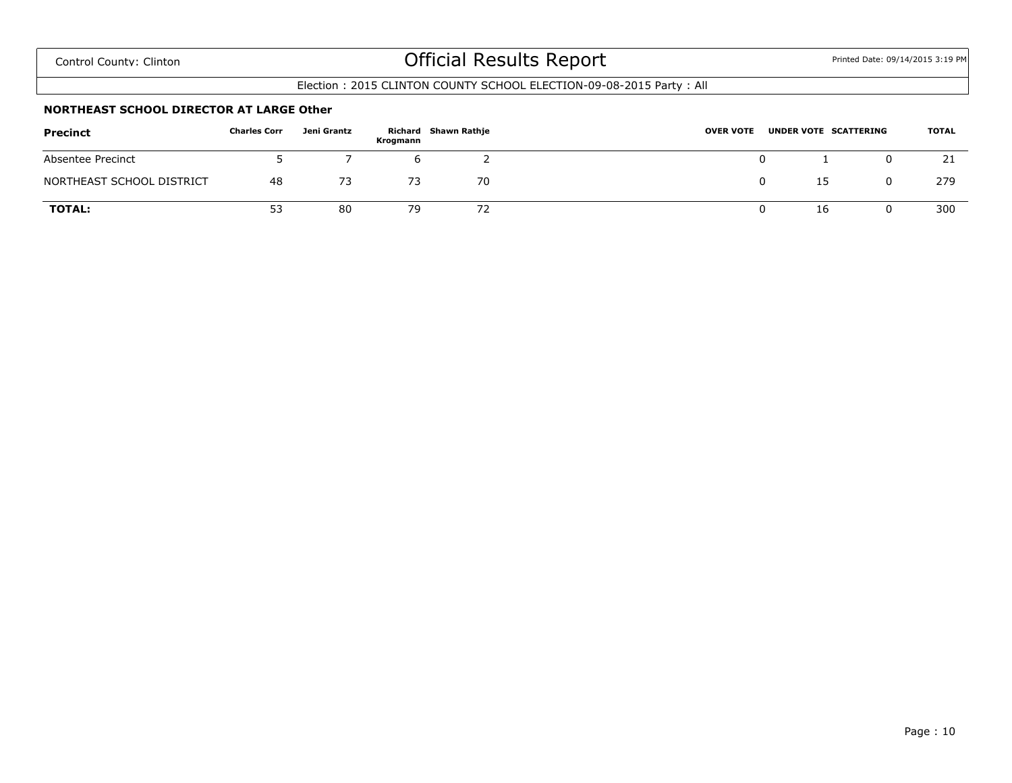### Election : 2015 CLINTON COUNTY SCHOOL ELECTION-09-08-2015 Party : All

#### **NORTHEAST SCHOOL DIRECTOR AT LARGE Other**

| Precinct                  | <b>Charles Corr</b> | Jeni Grantz | Krogmann | Richard Shawn Rathje | <b>OVER VOTE</b> | UNDER VOTE SCATTERING | <b>TOTAL</b> |
|---------------------------|---------------------|-------------|----------|----------------------|------------------|-----------------------|--------------|
| Absentee Precinct         |                     |             |          |                      |                  |                       | 21           |
| NORTHEAST SCHOOL DISTRICT | 48                  |             | 73       | 70                   |                  | 15                    | 279          |
| <b>TOTAL:</b>             | 53                  | 80          | 79       | 72                   |                  | 16                    | 300          |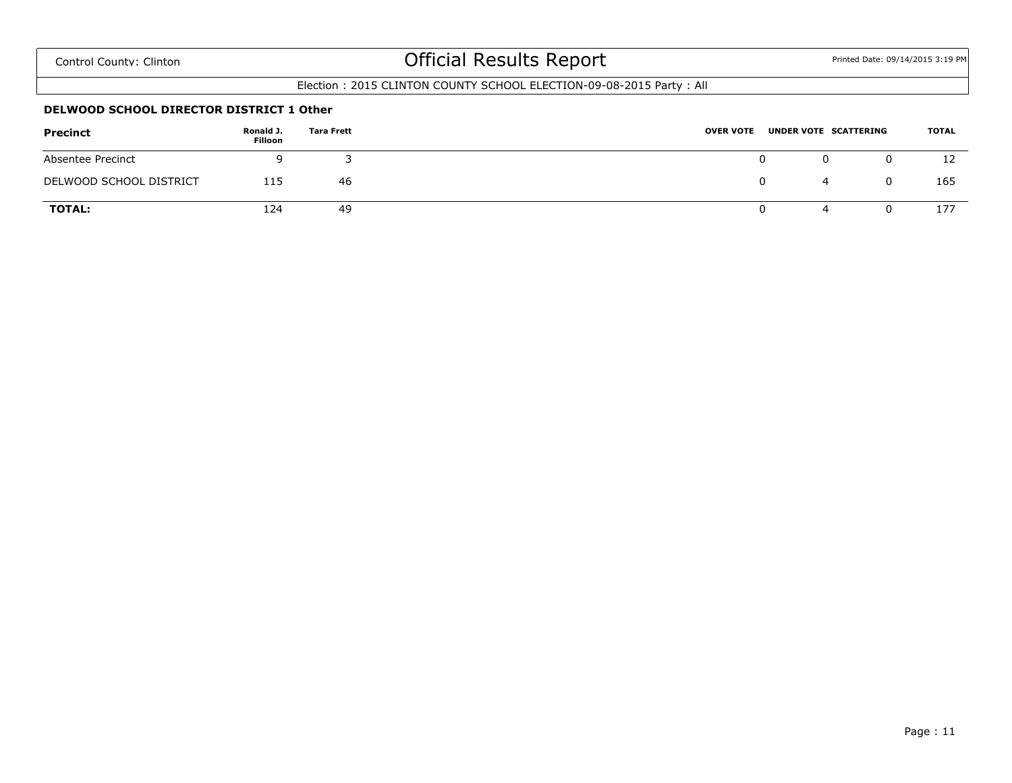### Election : 2015 CLINTON COUNTY SCHOOL ELECTION-09-08-2015 Party : All

#### **DELWOOD SCHOOL DIRECTOR DISTRICT 1 Other**

| <b>Precinct</b>         | Ronald J.<br>Filloon | <b>Tara Frett</b> | <b>OVER VOTE</b> |   | UNDER VOTE SCATTERING | <b>TOTAL</b> |
|-------------------------|----------------------|-------------------|------------------|---|-----------------------|--------------|
| Absentee Precinct       |                      |                   |                  |   |                       | 12           |
| DELWOOD SCHOOL DISTRICT | 115                  | 46                |                  | 0 | 4                     | 165          |
| <b>TOTAL:</b>           | 124                  | 49                |                  | 0 | ≖                     | 177          |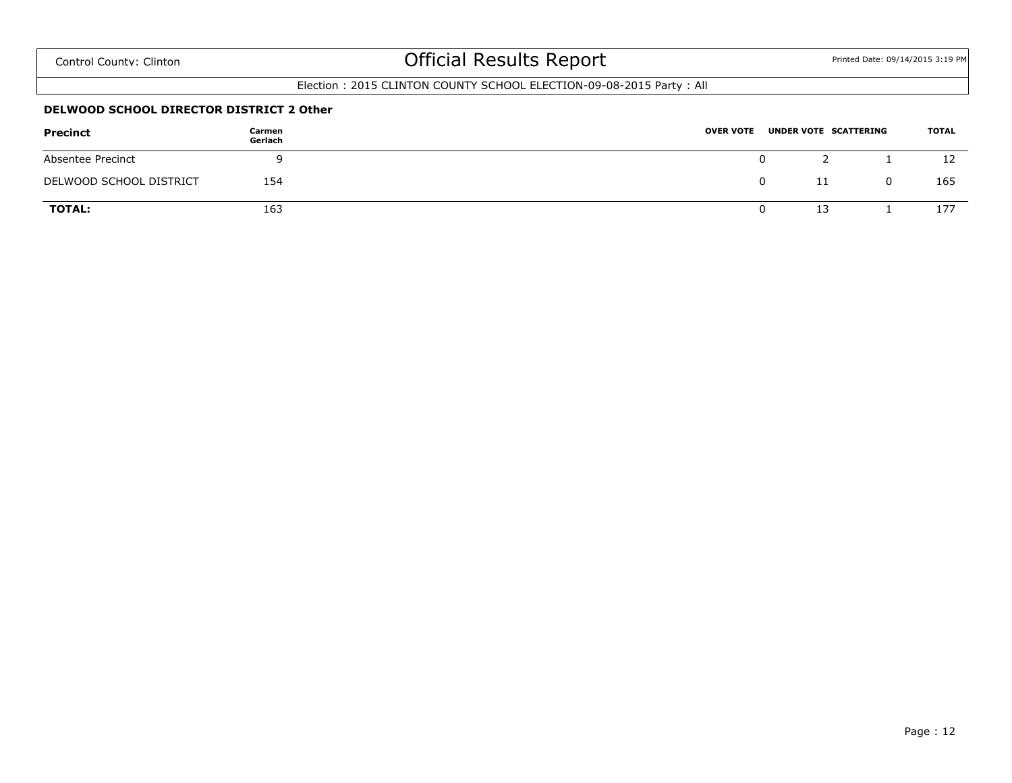### Election : 2015 CLINTON COUNTY SCHOOL ELECTION-09-08-2015 Party : All

#### **DELWOOD SCHOOL DIRECTOR DISTRICT 2 Other**

| <b>Precinct</b>         | Carmen<br>Gerlach | <b>OVER VOTE</b> |    | UNDER VOTE SCATTERING | <b>TOTAL</b> |
|-------------------------|-------------------|------------------|----|-----------------------|--------------|
| Absentee Precinct       |                   |                  | 0  |                       | 12           |
| DELWOOD SCHOOL DISTRICT | 154               |                  | 0  |                       | 165          |
| <b>TOTAL:</b>           | 163               |                  | 13 |                       | 177          |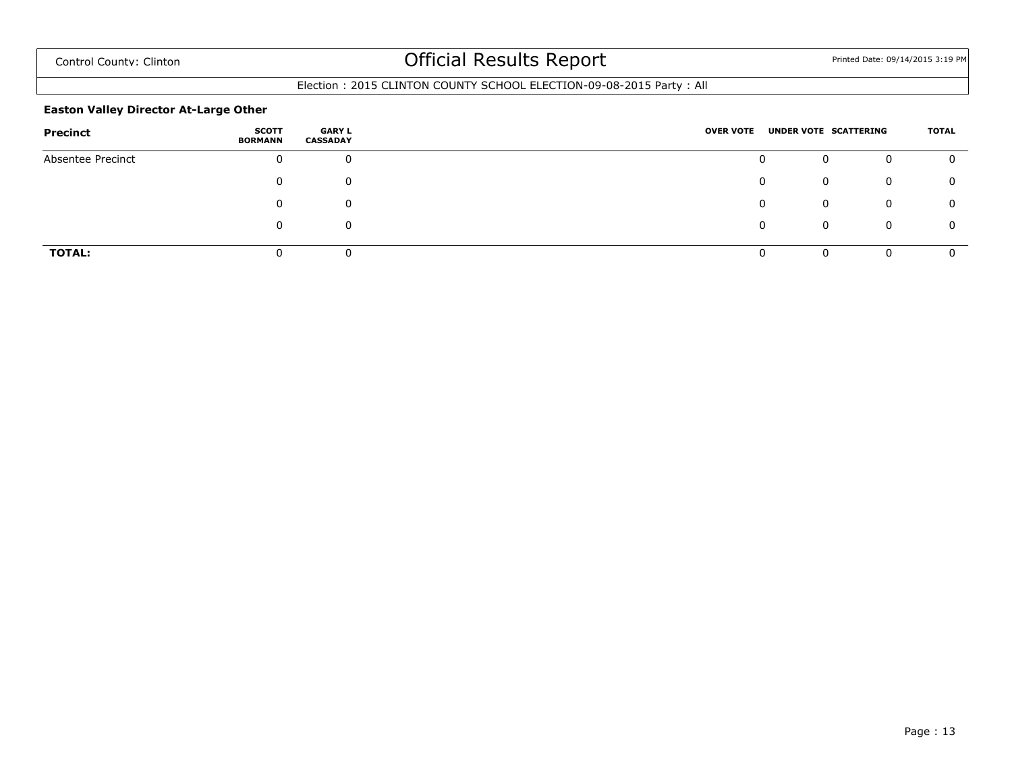### Election : 2015 CLINTON COUNTY SCHOOL ELECTION-09-08-2015 Party : All

#### **Easton Valley Director At-Large Other**

| Precinct          | SCOTT<br><b>BORMANN</b> | <b>GARY L</b><br><b>CASSADAY</b> | <b>OVER VOTE</b> |          | UNDER VOTE SCATTERING |   | TOTAL |
|-------------------|-------------------------|----------------------------------|------------------|----------|-----------------------|---|-------|
| Absentee Precinct | $\mathbf{0}$            | 0                                |                  | 0        | 0                     | 0 |       |
|                   | 0                       | 0                                |                  | 0        | 0                     | 0 |       |
|                   | 0                       | 0                                |                  | $\Omega$ | 0                     | 0 | 0     |
|                   | 0                       | 0                                |                  | 0        | 0                     | 0 |       |
| <b>TOTAL:</b>     |                         | 0                                |                  |          | 0                     | 0 |       |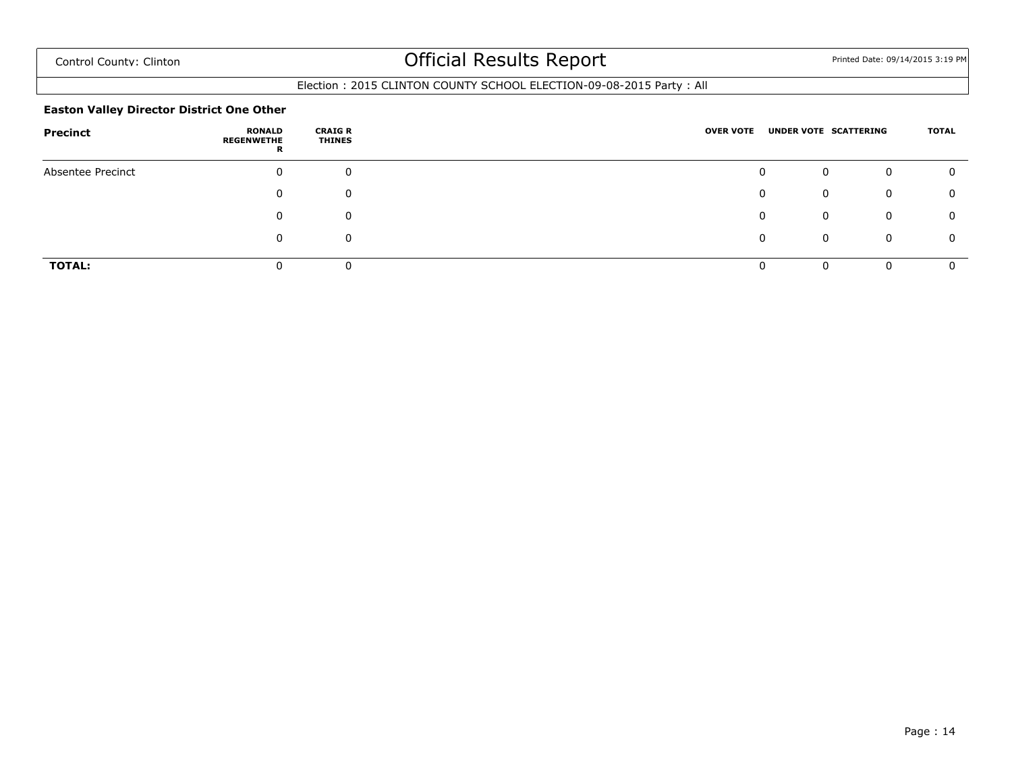### Election : 2015 CLINTON COUNTY SCHOOL ELECTION-09-08-2015 Party : All

#### **Easton Valley Director District One Other**

| Precinct          | <b>RONALD</b><br><b>REGENWETHE</b><br>R | <b>CRAIG R</b><br><b>THINES</b> | <b>OVER VOTE</b> | UNDER VOTE SCATTERING |          | TOTAL |
|-------------------|-----------------------------------------|---------------------------------|------------------|-----------------------|----------|-------|
| Absentee Precinct | 0                                       | $\mathbf 0$                     |                  | 0                     | 0        | O     |
|                   |                                         | 0                               |                  | 0<br>0                | 0        | 0     |
|                   |                                         | 0                               |                  | 0                     | 0        | 0     |
|                   |                                         | 0                               |                  | 0<br>0                | 0        | Ω     |
| <b>TOTAL:</b>     |                                         | 0                               |                  | $\Omega$              | $\Omega$ |       |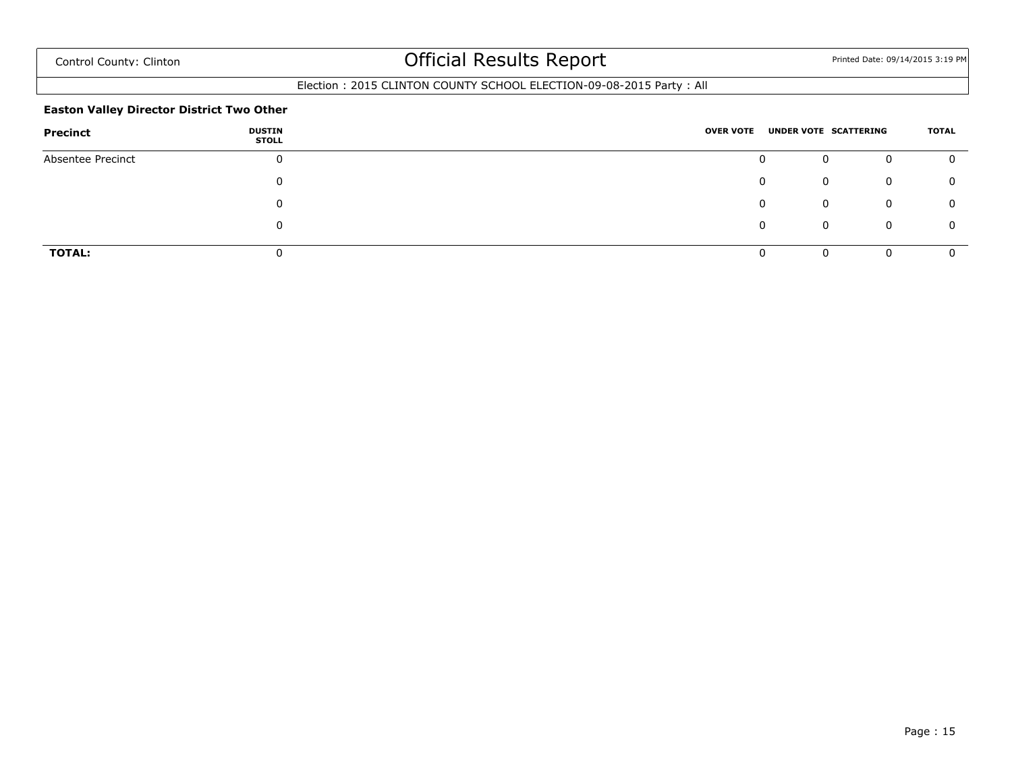### Election : 2015 CLINTON COUNTY SCHOOL ELECTION-09-08-2015 Party : All

#### **Easton Valley Director District Two Other**

| Precinct          | <b>DUSTIN</b><br><b>STOLL</b> | <b>OVER VOTE</b> |   | UNDER VOTE SCATTERING | TOTAL |
|-------------------|-------------------------------|------------------|---|-----------------------|-------|
| Absentee Precinct | $\mathbf{0}$                  |                  | 0 | 0<br>0                |       |
|                   | 0                             |                  | 0 | 0<br>0                |       |
|                   | 0                             |                  | 0 | 0<br>0                | 0     |
|                   | 0                             |                  | 0 | 0<br>0                |       |
| <b>TOTAL:</b>     |                               |                  |   | 0<br>O                |       |